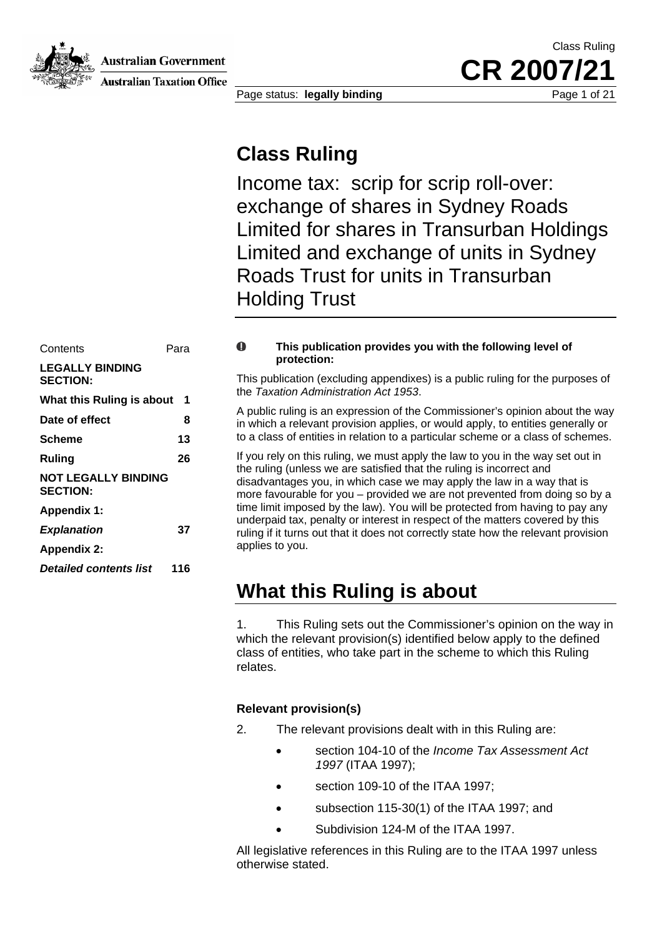Australian Government



**Australian Taxation Office** 

Class Ruling CR 2007/

Page status: **legally binding** Page 1 of 21

### **Class Ruling**

Income tax: scrip for scrip roll-over: exchange of shares in Sydney Roads Limited for shares in Transurban Holdings Limited and exchange of units in Sydney Roads Trust for units in Transurban Holding Trust

| Contents                                      | Para          | A                |  |  |
|-----------------------------------------------|---------------|------------------|--|--|
| <b>LEGALLY BINDING</b><br><b>SECTION:</b>     |               | This p           |  |  |
| What this Ruling is about                     | the $T_1$     |                  |  |  |
| Date of effect                                | 8             | A put<br>in whi  |  |  |
| <b>Scheme</b>                                 | 13            | to a c           |  |  |
| <b>Ruling</b>                                 | 26            | If you<br>the ru |  |  |
| <b>NOT LEGALLY BINDING</b><br><b>SECTION:</b> | disad<br>more |                  |  |  |
| <b>Appendix 1:</b>                            |               | time I           |  |  |
| <b>Explanation</b>                            | 37            | under<br>ruling  |  |  |
| <b>Appendix 2:</b>                            |               | applie           |  |  |
| <b>Detailed contents list</b>                 | 116           |                  |  |  |
|                                               |               | 1 A J I          |  |  |

#### $\mathbf 0$ **This publication provides you with the following level of protection:**

This publication (excluding appendixes) is a public ruling for the purposes of the *Taxation Administration Act 1953*.

A public ruling is an expression of the Commissioner's opinion about the way in which a relevant provision applies, or would apply, to entities generally or **Scheme 13** 13 to a class of entities in relation to a particular scheme or a class of schemes.

> If you rely on this ruling, we must apply the law to you in the way set out in the ruling (unless we are satisfied that the ruling is incorrect and disadvantages you, in which case we may apply the law in a way that is more favourable for you – provided we are not prevented from doing so by a time limit imposed by the law). You will be protected from having to pay any underpaid tax, penalty or interest in respect of the matters covered by this ruling if it turns out that it does not correctly state how the relevant provision applies to you.

### **What this Ruling is about**

1. This Ruling sets out the Commissioner's opinion on the way in which the relevant provision(s) identified below apply to the defined class of entities, who take part in the scheme to which this Ruling relates.

#### **Relevant provision(s)**

- 2. The relevant provisions dealt with in this Ruling are:
	- section 104-10 of the *Income Tax Assessment Act 1997* (ITAA 1997);
	- section 109-10 of the ITAA 1997;
	- subsection 115-30(1) of the ITAA 1997; and
	- Subdivision 124-M of the ITAA 1997.

All legislative references in this Ruling are to the ITAA 1997 unless otherwise stated.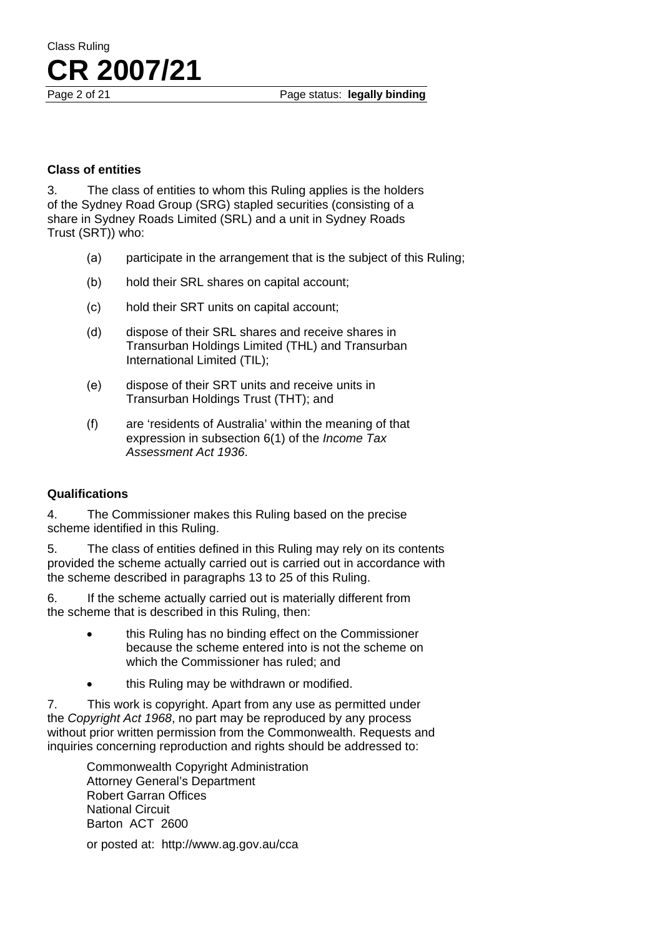Page 2 of 21 **Page status: legally binding** 

#### **Class of entities**

**CR 2007/21**

Class Ruling

3. The class of entities to whom this Ruling applies is the holders of the Sydney Road Group (SRG) stapled securities (consisting of a share in Sydney Roads Limited (SRL) and a unit in Sydney Roads Trust (SRT)) who:

- (a) participate in the arrangement that is the subject of this Ruling;
- (b) hold their SRL shares on capital account;
- (c) hold their SRT units on capital account;
- (d) dispose of their SRL shares and receive shares in Transurban Holdings Limited (THL) and Transurban International Limited (TIL);
- (e) dispose of their SRT units and receive units in Transurban Holdings Trust (THT); and
- (f) are 'residents of Australia' within the meaning of that expression in subsection 6(1) of the *Income Tax Assessment Act 1936*.

#### **Qualifications**

4. The Commissioner makes this Ruling based on the precise scheme identified in this Ruling.

5. The class of entities defined in this Ruling may rely on its contents provided the scheme actually carried out is carried out in accordance with the scheme described in paragraphs 13 to 25 of this Ruling.

6. If the scheme actually carried out is materially different from the scheme that is described in this Ruling, then:

- this Ruling has no binding effect on the Commissioner because the scheme entered into is not the scheme on which the Commissioner has ruled; and
- this Ruling may be withdrawn or modified.

7. This work is copyright. Apart from any use as permitted under the *Copyright Act 1968*, no part may be reproduced by any process without prior written permission from the Commonwealth. Requests and inquiries concerning reproduction and rights should be addressed to:

> Commonwealth Copyright Administration Attorney General's Department Robert Garran Offices National Circuit Barton ACT 2600

or posted at: http://www.ag.gov.au/cca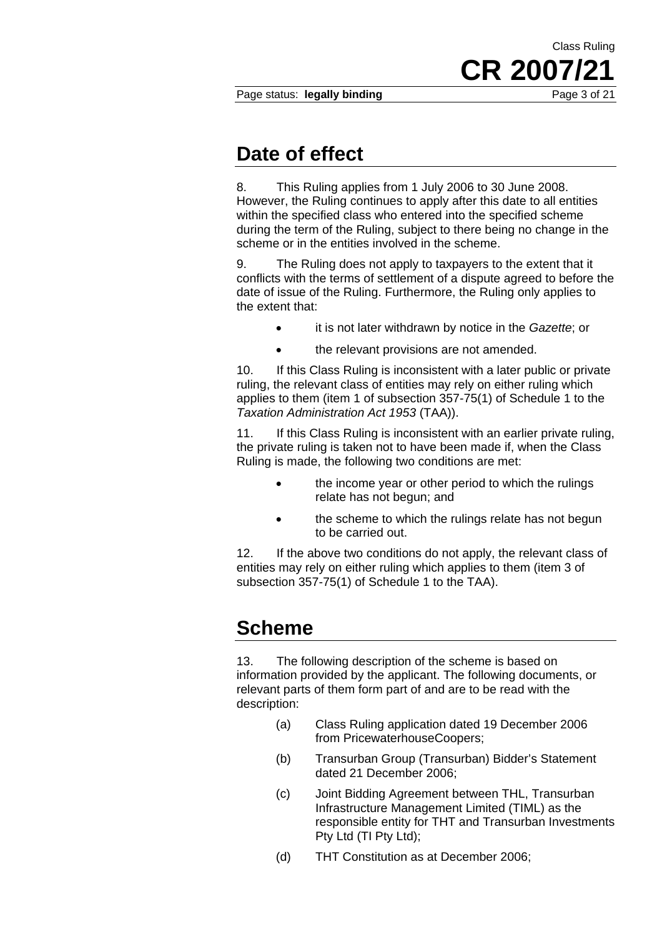Page status: **legally binding** Page 3 of 21

**CR 2007/21**

Class Ruling

### **Date of effect**

8. This Ruling applies from 1 July 2006 to 30 June 2008. However, the Ruling continues to apply after this date to all entities within the specified class who entered into the specified scheme during the term of the Ruling, subject to there being no change in the scheme or in the entities involved in the scheme.

9. The Ruling does not apply to taxpayers to the extent that it conflicts with the terms of settlement of a dispute agreed to before the date of issue of the Ruling. Furthermore, the Ruling only applies to the extent that:

- it is not later withdrawn by notice in the *Gazette*; or
- the relevant provisions are not amended.

10. If this Class Ruling is inconsistent with a later public or private ruling, the relevant class of entities may rely on either ruling which applies to them (item 1 of subsection 357-75(1) of Schedule 1 to the *Taxation Administration Act 1953* (TAA)).

11. If this Class Ruling is inconsistent with an earlier private ruling, the private ruling is taken not to have been made if, when the Class Ruling is made, the following two conditions are met:

- the income year or other period to which the rulings relate has not begun; and
- the scheme to which the rulings relate has not begun to be carried out.

12. If the above two conditions do not apply, the relevant class of entities may rely on either ruling which applies to them (item 3 of subsection 357-75(1) of Schedule 1 to the TAA).

### **Scheme**

13. The following description of the scheme is based on information provided by the applicant. The following documents, or relevant parts of them form part of and are to be read with the description:

- (a) Class Ruling application dated 19 December 2006 from PricewaterhouseCoopers;
- (b) Transurban Group (Transurban) Bidder's Statement dated 21 December 2006;
- (c) Joint Bidding Agreement between THL, Transurban Infrastructure Management Limited (TIML) as the responsible entity for THT and Transurban Investments Pty Ltd (TI Pty Ltd);
- (d) THT Constitution as at December 2006;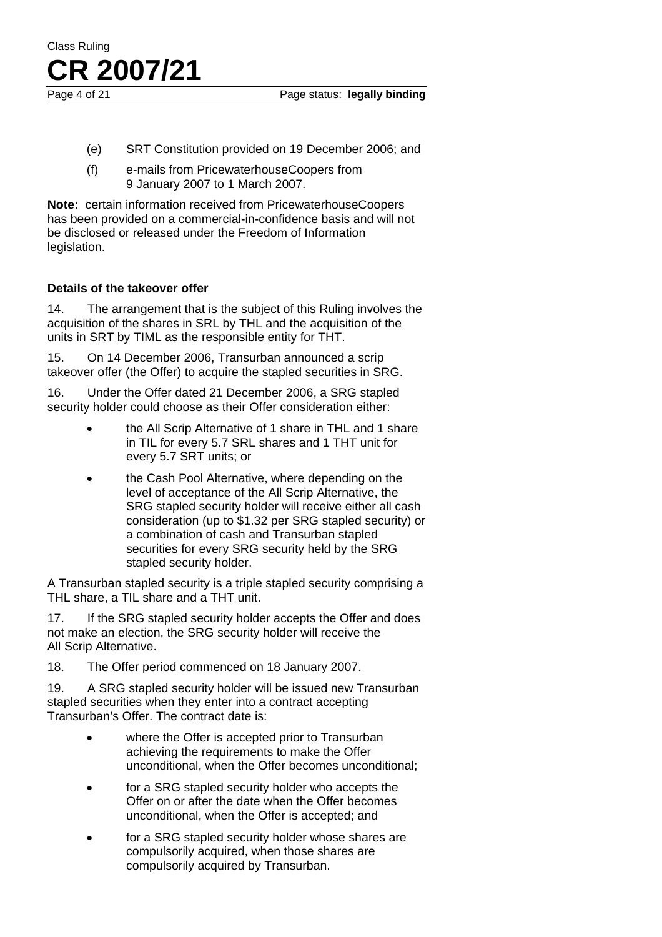

Page 4 of 21 Page status: **legally binding** 

- (e) SRT Constitution provided on 19 December 2006; and
- (f) e-mails from PricewaterhouseCoopers from 9 January 2007 to 1 March 2007.

**Note:** certain information received from PricewaterhouseCoopers has been provided on a commercial-in-confidence basis and will not be disclosed or released under the Freedom of Information legislation.

#### **Details of the takeover offer**

14. The arrangement that is the subject of this Ruling involves the acquisition of the shares in SRL by THL and the acquisition of the units in SRT by TIML as the responsible entity for THT.

15. On 14 December 2006, Transurban announced a scrip takeover offer (the Offer) to acquire the stapled securities in SRG.

16. Under the Offer dated 21 December 2006, a SRG stapled security holder could choose as their Offer consideration either:

- the All Scrip Alternative of 1 share in THL and 1 share in TIL for every 5.7 SRL shares and 1 THT unit for every 5.7 SRT units; or
- the Cash Pool Alternative, where depending on the level of acceptance of the All Scrip Alternative, the SRG stapled security holder will receive either all cash consideration (up to \$1.32 per SRG stapled security) or a combination of cash and Transurban stapled securities for every SRG security held by the SRG stapled security holder.

A Transurban stapled security is a triple stapled security comprising a THL share, a TIL share and a THT unit.

17. If the SRG stapled security holder accepts the Offer and does not make an election, the SRG security holder will receive the All Scrip Alternative.

18. The Offer period commenced on 18 January 2007.

19. A SRG stapled security holder will be issued new Transurban stapled securities when they enter into a contract accepting Transurban's Offer. The contract date is:

- where the Offer is accepted prior to Transurban achieving the requirements to make the Offer unconditional, when the Offer becomes unconditional;
- for a SRG stapled security holder who accepts the Offer on or after the date when the Offer becomes unconditional, when the Offer is accepted; and
- for a SRG stapled security holder whose shares are compulsorily acquired, when those shares are compulsorily acquired by Transurban.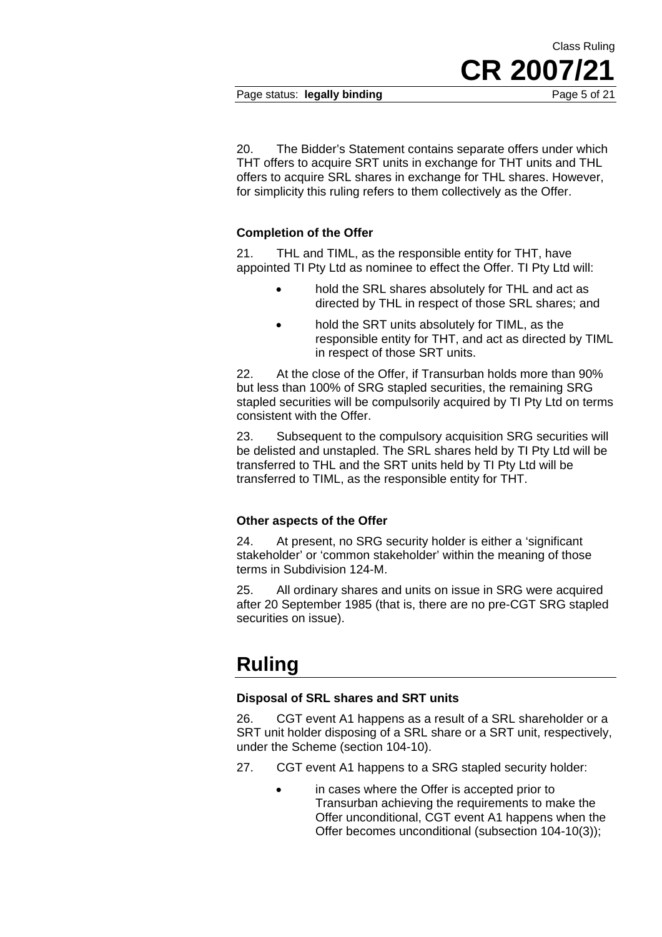Page status: **legally binding** Page 5 of 21

**CR 2007/21**

Class Ruling

20. The Bidder's Statement contains separate offers under which THT offers to acquire SRT units in exchange for THT units and THL offers to acquire SRL shares in exchange for THL shares. However, for simplicity this ruling refers to them collectively as the Offer.

#### **Completion of the Offer**

21. THL and TIML, as the responsible entity for THT, have appointed TI Pty Ltd as nominee to effect the Offer. TI Pty Ltd will:

- hold the SRL shares absolutely for THL and act as directed by THL in respect of those SRL shares; and
- hold the SRT units absolutely for TIML, as the responsible entity for THT, and act as directed by TIML in respect of those SRT units.

22. At the close of the Offer, if Transurban holds more than 90% but less than 100% of SRG stapled securities, the remaining SRG stapled securities will be compulsorily acquired by TI Pty Ltd on terms consistent with the Offer.

23. Subsequent to the compulsory acquisition SRG securities will be delisted and unstapled. The SRL shares held by TI Pty Ltd will be transferred to THL and the SRT units held by TI Pty Ltd will be transferred to TIML, as the responsible entity for THT.

#### **Other aspects of the Offer**

24. At present, no SRG security holder is either a 'significant stakeholder' or 'common stakeholder' within the meaning of those terms in Subdivision 124-M.

25. All ordinary shares and units on issue in SRG were acquired after 20 September 1985 (that is, there are no pre-CGT SRG stapled securities on issue).

### **Ruling**

#### **Disposal of SRL shares and SRT units**

26. CGT event A1 happens as a result of a SRL shareholder or a SRT unit holder disposing of a SRL share or a SRT unit, respectively, under the Scheme (section 104-10).

- 27. CGT event A1 happens to a SRG stapled security holder:
	- in cases where the Offer is accepted prior to Transurban achieving the requirements to make the Offer unconditional, CGT event A1 happens when the Offer becomes unconditional (subsection 104-10(3));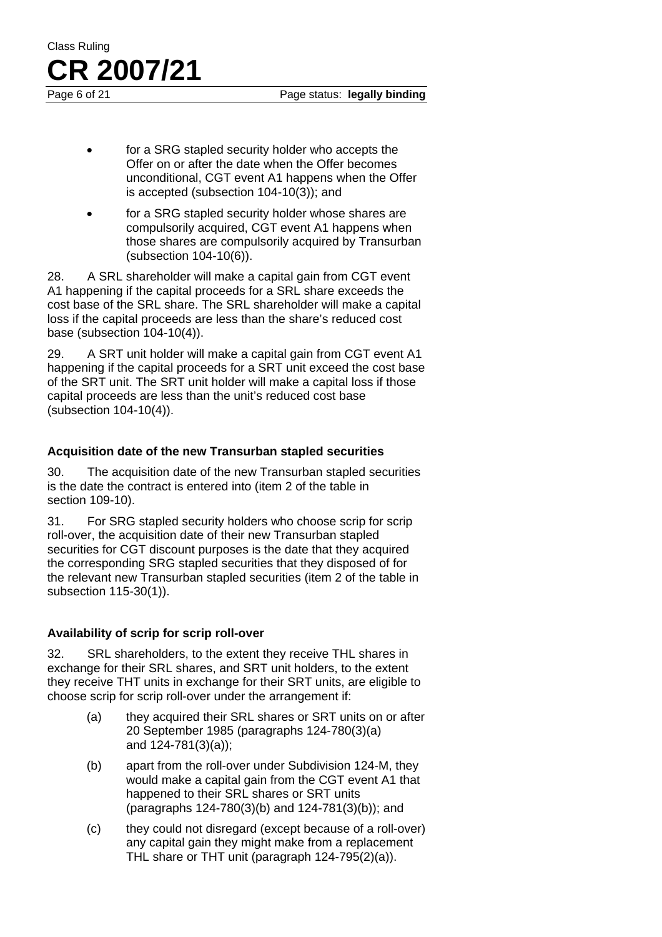Page 6 of 21 **Page status: legally binding** 

- for a SRG stapled security holder who accepts the Offer on or after the date when the Offer becomes unconditional, CGT event A1 happens when the Offer is accepted (subsection 104-10(3)); and
- for a SRG stapled security holder whose shares are compulsorily acquired, CGT event A1 happens when those shares are compulsorily acquired by Transurban (subsection 104-10(6)).

28. A SRL shareholder will make a capital gain from CGT event A1 happening if the capital proceeds for a SRL share exceeds the cost base of the SRL share. The SRL shareholder will make a capital loss if the capital proceeds are less than the share's reduced cost base (subsection 104-10(4)).

29. A SRT unit holder will make a capital gain from CGT event A1 happening if the capital proceeds for a SRT unit exceed the cost base of the SRT unit. The SRT unit holder will make a capital loss if those capital proceeds are less than the unit's reduced cost base (subsection 104-10(4)).

#### **Acquisition date of the new Transurban stapled securities**

30. The acquisition date of the new Transurban stapled securities is the date the contract is entered into (item 2 of the table in section 109-10).

31. For SRG stapled security holders who choose scrip for scrip roll-over, the acquisition date of their new Transurban stapled securities for CGT discount purposes is the date that they acquired the corresponding SRG stapled securities that they disposed of for the relevant new Transurban stapled securities (item 2 of the table in subsection 115-30(1)).

#### **Availability of scrip for scrip roll-over**

32. SRL shareholders, to the extent they receive THL shares in exchange for their SRL shares, and SRT unit holders, to the extent they receive THT units in exchange for their SRT units, are eligible to choose scrip for scrip roll-over under the arrangement if:

- (a) they acquired their SRL shares or SRT units on or after 20 September 1985 (paragraphs 124-780(3)(a) and 124-781(3)(a));
- (b) apart from the roll-over under Subdivision 124-M, they would make a capital gain from the CGT event A1 that happened to their SRL shares or SRT units (paragraphs 124-780(3)(b) and 124-781(3)(b)); and
- (c) they could not disregard (except because of a roll-over) any capital gain they might make from a replacement THL share or THT unit (paragraph 124-795(2)(a)).

**CR 2007/21**

Class Ruling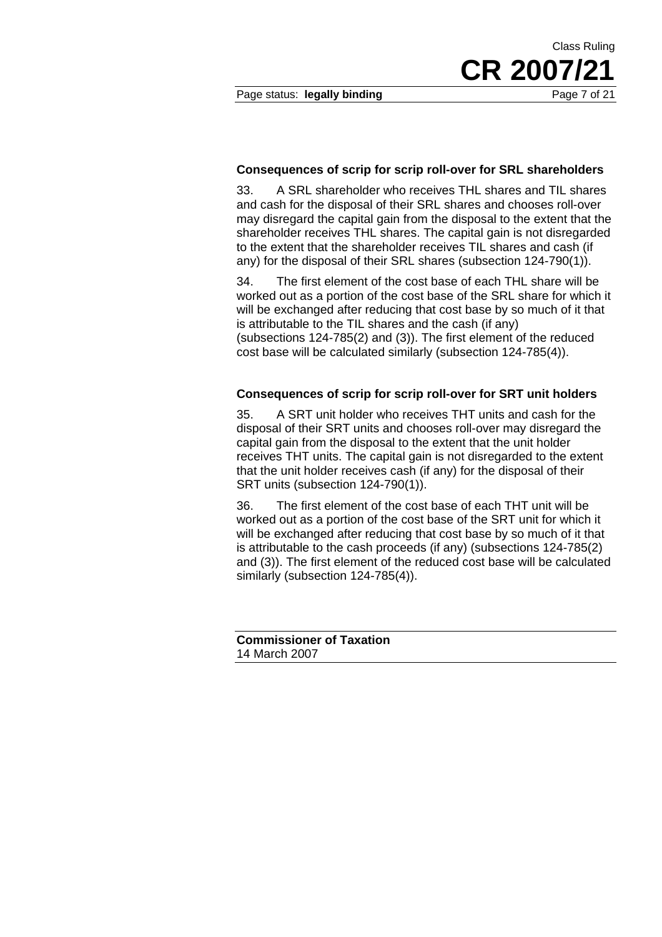Page status: **legally binding** Page 7 of 21

Class Ruling

#### **Consequences of scrip for scrip roll-over for SRL shareholders**

33. A SRL shareholder who receives THL shares and TIL shares and cash for the disposal of their SRL shares and chooses roll-over may disregard the capital gain from the disposal to the extent that the shareholder receives THL shares. The capital gain is not disregarded to the extent that the shareholder receives TIL shares and cash (if any) for the disposal of their SRL shares (subsection 124-790(1)).

34. The first element of the cost base of each THL share will be worked out as a portion of the cost base of the SRL share for which it will be exchanged after reducing that cost base by so much of it that is attributable to the TIL shares and the cash (if any) (subsections 124-785(2) and (3)). The first element of the reduced cost base will be calculated similarly (subsection 124-785(4)).

#### **Consequences of scrip for scrip roll-over for SRT unit holders**

35. A SRT unit holder who receives THT units and cash for the disposal of their SRT units and chooses roll-over may disregard the capital gain from the disposal to the extent that the unit holder receives THT units. The capital gain is not disregarded to the extent that the unit holder receives cash (if any) for the disposal of their SRT units (subsection 124-790(1)).

36. The first element of the cost base of each THT unit will be worked out as a portion of the cost base of the SRT unit for which it will be exchanged after reducing that cost base by so much of it that is attributable to the cash proceeds (if any) (subsections 124-785(2) and (3)). The first element of the reduced cost base will be calculated similarly (subsection 124-785(4)).

| <b>Commissioner of Taxation</b> |  |
|---------------------------------|--|
| 14 March 2007                   |  |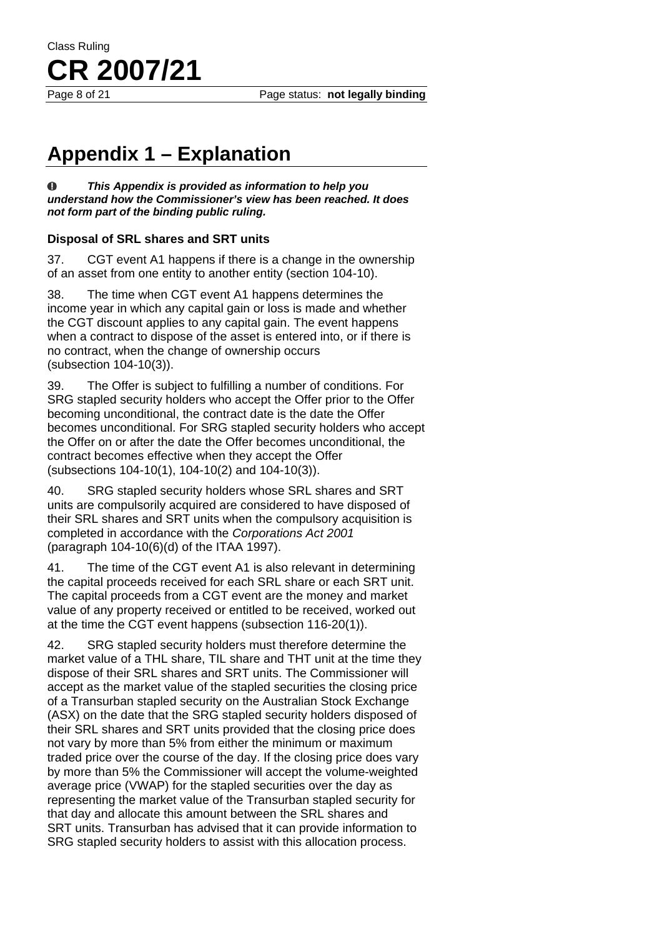Page 8 of 21 **Page status: not legally binding** 

## **Appendix 1 – Explanation**

Class Ruling

**CR 2007/21**

 $\bf{0}$ *This Appendix is provided as information to help you understand how the Commissioner's view has been reached. It does not form part of the binding public ruling.* 

#### **Disposal of SRL shares and SRT units**

37. CGT event A1 happens if there is a change in the ownership of an asset from one entity to another entity (section 104-10).

38. The time when CGT event A1 happens determines the income year in which any capital gain or loss is made and whether the CGT discount applies to any capital gain. The event happens when a contract to dispose of the asset is entered into, or if there is no contract, when the change of ownership occurs (subsection 104-10(3)).

39. The Offer is subject to fulfilling a number of conditions. For SRG stapled security holders who accept the Offer prior to the Offer becoming unconditional, the contract date is the date the Offer becomes unconditional. For SRG stapled security holders who accept the Offer on or after the date the Offer becomes unconditional, the contract becomes effective when they accept the Offer (subsections 104-10(1), 104-10(2) and 104-10(3)).

40. SRG stapled security holders whose SRL shares and SRT units are compulsorily acquired are considered to have disposed of their SRL shares and SRT units when the compulsory acquisition is completed in accordance with the *Corporations Act 2001* (paragraph 104-10(6)(d) of the ITAA 1997).

41. The time of the CGT event A1 is also relevant in determining the capital proceeds received for each SRL share or each SRT unit. The capital proceeds from a CGT event are the money and market value of any property received or entitled to be received, worked out at the time the CGT event happens (subsection 116-20(1)).

42. SRG stapled security holders must therefore determine the market value of a THL share, TIL share and THT unit at the time they dispose of their SRL shares and SRT units. The Commissioner will accept as the market value of the stapled securities the closing price of a Transurban stapled security on the Australian Stock Exchange (ASX) on the date that the SRG stapled security holders disposed of their SRL shares and SRT units provided that the closing price does not vary by more than 5% from either the minimum or maximum traded price over the course of the day. If the closing price does vary by more than 5% the Commissioner will accept the volume-weighted average price (VWAP) for the stapled securities over the day as representing the market value of the Transurban stapled security for that day and allocate this amount between the SRL shares and SRT units. Transurban has advised that it can provide information to SRG stapled security holders to assist with this allocation process.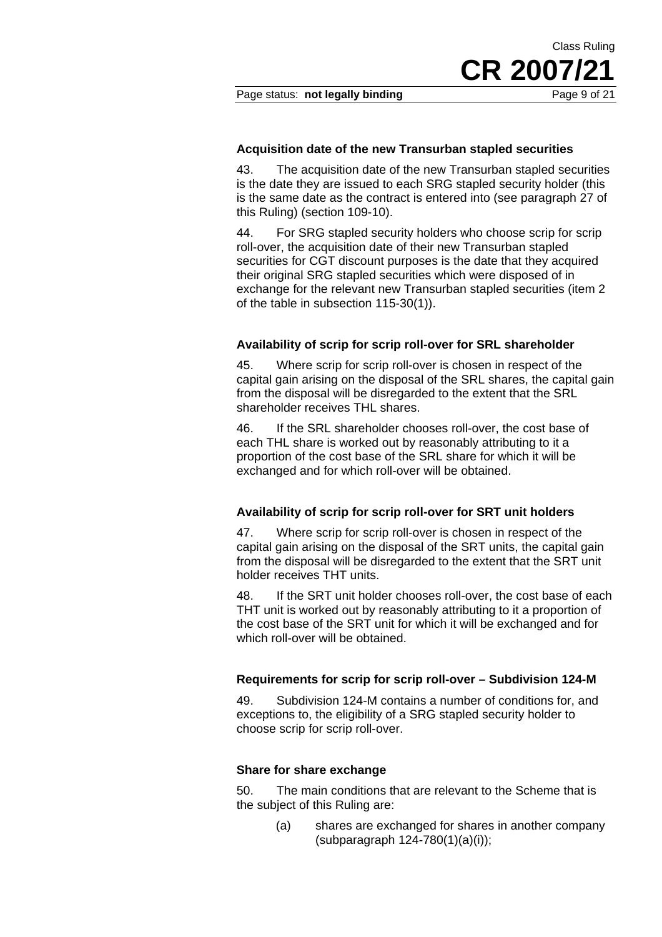Class Ruling

#### **Acquisition date of the new Transurban stapled securities**

43. The acquisition date of the new Transurban stapled securities is the date they are issued to each SRG stapled security holder (this is the same date as the contract is entered into (see paragraph 27 of this Ruling) (section 109-10).

44. For SRG stapled security holders who choose scrip for scrip roll-over, the acquisition date of their new Transurban stapled securities for CGT discount purposes is the date that they acquired their original SRG stapled securities which were disposed of in exchange for the relevant new Transurban stapled securities (item 2 of the table in subsection 115-30(1)).

#### **Availability of scrip for scrip roll-over for SRL shareholder**

45. Where scrip for scrip roll-over is chosen in respect of the capital gain arising on the disposal of the SRL shares, the capital gain from the disposal will be disregarded to the extent that the SRL shareholder receives THL shares.

46. If the SRL shareholder chooses roll-over, the cost base of each THL share is worked out by reasonably attributing to it a proportion of the cost base of the SRL share for which it will be exchanged and for which roll-over will be obtained.

#### **Availability of scrip for scrip roll-over for SRT unit holders**

47. Where scrip for scrip roll-over is chosen in respect of the capital gain arising on the disposal of the SRT units, the capital gain from the disposal will be disregarded to the extent that the SRT unit holder receives THT units.

48. If the SRT unit holder chooses roll-over, the cost base of each THT unit is worked out by reasonably attributing to it a proportion of the cost base of the SRT unit for which it will be exchanged and for which roll-over will be obtained.

#### **Requirements for scrip for scrip roll-over – Subdivision 124-M**

49. Subdivision 124-M contains a number of conditions for, and exceptions to, the eligibility of a SRG stapled security holder to choose scrip for scrip roll-over.

#### **Share for share exchange**

50. The main conditions that are relevant to the Scheme that is the subject of this Ruling are:

> (a) shares are exchanged for shares in another company (subparagraph 124-780(1)(a)(i));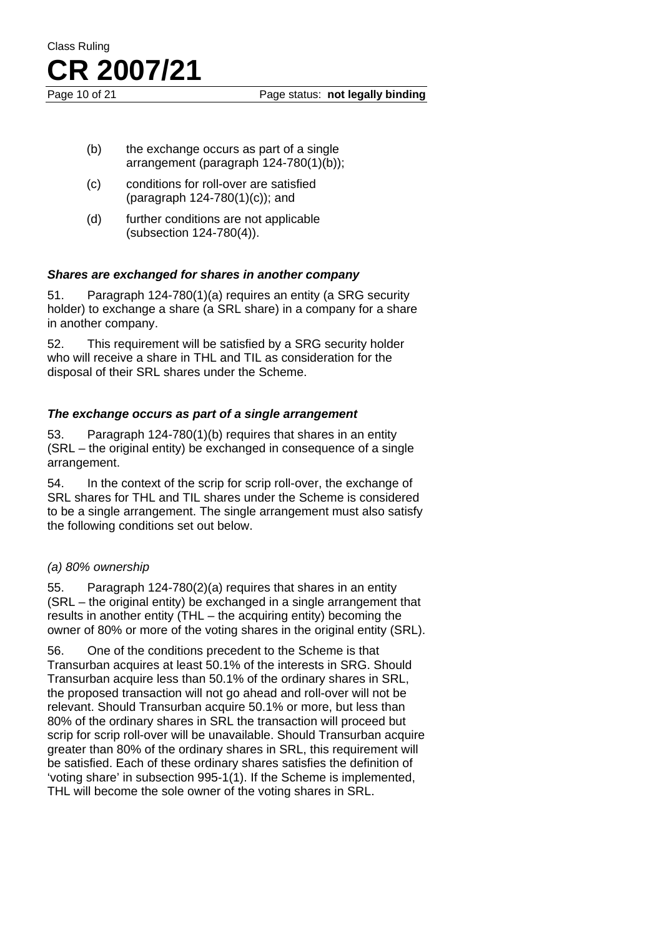

Page 10 of 21 **Page status: not legally binding** 

- (b) the exchange occurs as part of a single arrangement (paragraph 124-780(1)(b));
- (c) conditions for roll-over are satisfied (paragraph 124-780(1)(c)); and
- (d) further conditions are not applicable (subsection 124-780(4)).

#### *Shares are exchanged for shares in another company*

51. Paragraph 124-780(1)(a) requires an entity (a SRG security holder) to exchange a share (a SRL share) in a company for a share in another company.

52. This requirement will be satisfied by a SRG security holder who will receive a share in THL and TIL as consideration for the disposal of their SRL shares under the Scheme.

#### *The exchange occurs as part of a single arrangement*

53. Paragraph 124-780(1)(b) requires that shares in an entity (SRL – the original entity) be exchanged in consequence of a single arrangement.

54. In the context of the scrip for scrip roll-over, the exchange of SRL shares for THL and TIL shares under the Scheme is considered to be a single arrangement. The single arrangement must also satisfy the following conditions set out below.

#### *(a) 80% ownership*

55. Paragraph 124-780(2)(a) requires that shares in an entity (SRL – the original entity) be exchanged in a single arrangement that results in another entity (THL – the acquiring entity) becoming the owner of 80% or more of the voting shares in the original entity (SRL).

56. One of the conditions precedent to the Scheme is that Transurban acquires at least 50.1% of the interests in SRG. Should Transurban acquire less than 50.1% of the ordinary shares in SRL, the proposed transaction will not go ahead and roll-over will not be relevant. Should Transurban acquire 50.1% or more, but less than 80% of the ordinary shares in SRL the transaction will proceed but scrip for scrip roll-over will be unavailable. Should Transurban acquire greater than 80% of the ordinary shares in SRL, this requirement will be satisfied. Each of these ordinary shares satisfies the definition of 'voting share' in subsection 995-1(1). If the Scheme is implemented, THL will become the sole owner of the voting shares in SRL.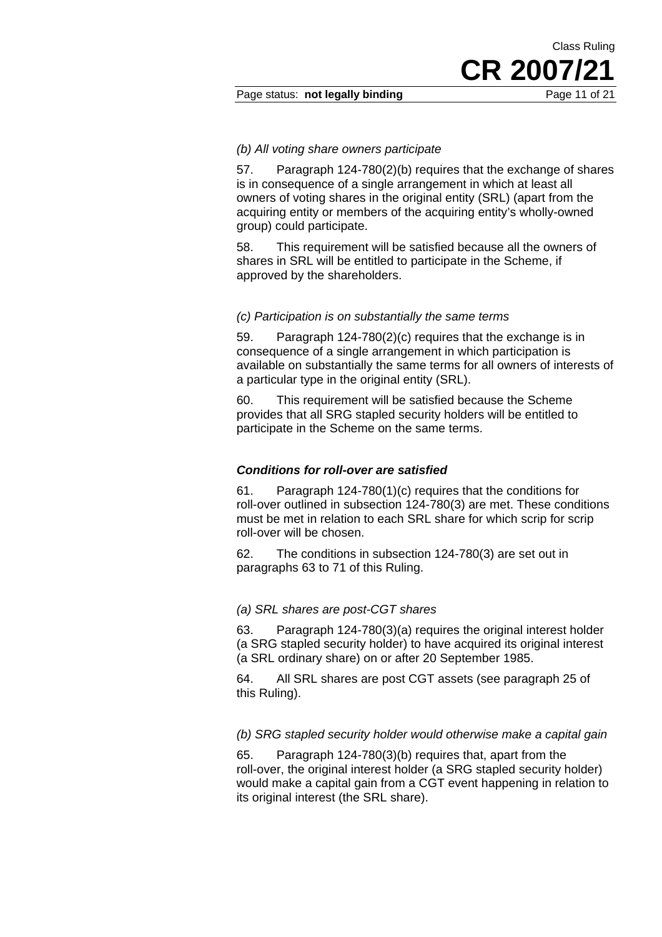#### Page status: **not legally binding** Page 11 of 21

#### *(b) All voting share owners participate*

57. Paragraph 124-780(2)(b) requires that the exchange of shares is in consequence of a single arrangement in which at least all owners of voting shares in the original entity (SRL) (apart from the acquiring entity or members of the acquiring entity's wholly-owned group) could participate.

58. This requirement will be satisfied because all the owners of shares in SRL will be entitled to participate in the Scheme, if approved by the shareholders.

#### *(c) Participation is on substantially the same terms*

59. Paragraph 124-780(2)(c) requires that the exchange is in consequence of a single arrangement in which participation is available on substantially the same terms for all owners of interests of a particular type in the original entity (SRL).

60. This requirement will be satisfied because the Scheme provides that all SRG stapled security holders will be entitled to participate in the Scheme on the same terms.

#### *Conditions for roll-over are satisfied*

61. Paragraph 124-780(1)(c) requires that the conditions for roll-over outlined in subsection 124-780(3) are met. These conditions must be met in relation to each SRL share for which scrip for scrip roll-over will be chosen.

62. The conditions in subsection 124-780(3) are set out in paragraphs 63 to 71 of this Ruling.

#### *(a) SRL shares are post-CGT shares*

63. Paragraph 124-780(3)(a) requires the original interest holder (a SRG stapled security holder) to have acquired its original interest (a SRL ordinary share) on or after 20 September 1985.

64. All SRL shares are post CGT assets (see paragraph 25 of this Ruling).

#### *(b) SRG stapled security holder would otherwise make a capital gain*

65. Paragraph 124-780(3)(b) requires that, apart from the roll-over, the original interest holder (a SRG stapled security holder) would make a capital gain from a CGT event happening in relation to its original interest (the SRL share).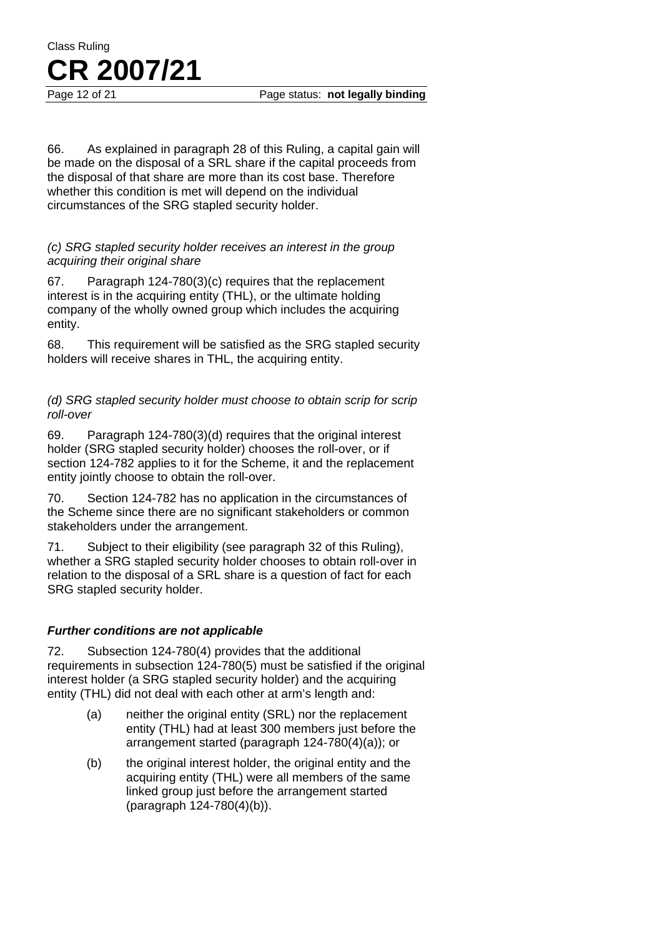66. As explained in paragraph 28 of this Ruling, a capital gain will be made on the disposal of a SRL share if the capital proceeds from the disposal of that share are more than its cost base. Therefore whether this condition is met will depend on the individual circumstances of the SRG stapled security holder.

#### *(c) SRG stapled security holder receives an interest in the group acquiring their original share*

67. Paragraph 124-780(3)(c) requires that the replacement interest is in the acquiring entity (THL), or the ultimate holding company of the wholly owned group which includes the acquiring entity.

68. This requirement will be satisfied as the SRG stapled security holders will receive shares in THL, the acquiring entity.

*(d) SRG stapled security holder must choose to obtain scrip for scrip roll-over* 

69. Paragraph 124-780(3)(d) requires that the original interest holder (SRG stapled security holder) chooses the roll-over, or if section 124-782 applies to it for the Scheme, it and the replacement entity jointly choose to obtain the roll-over.

70. Section 124-782 has no application in the circumstances of the Scheme since there are no significant stakeholders or common stakeholders under the arrangement.

71. Subject to their eligibility (see paragraph 32 of this Ruling), whether a SRG stapled security holder chooses to obtain roll-over in relation to the disposal of a SRL share is a question of fact for each SRG stapled security holder.

#### *Further conditions are not applicable*

72. Subsection 124-780(4) provides that the additional requirements in subsection 124-780(5) must be satisfied if the original interest holder (a SRG stapled security holder) and the acquiring entity (THL) did not deal with each other at arm's length and:

- (a) neither the original entity (SRL) nor the replacement entity (THL) had at least 300 members just before the arrangement started (paragraph 124-780(4)(a)); or
- (b) the original interest holder, the original entity and the acquiring entity (THL) were all members of the same linked group just before the arrangement started (paragraph 124-780(4)(b)).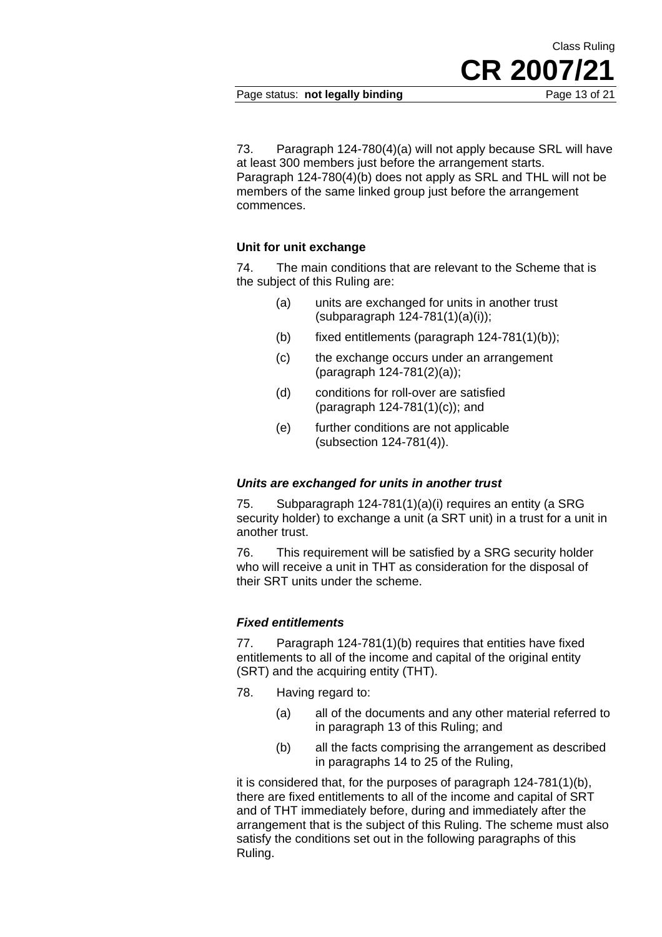Page status: **not legally binding** Page 13 of 21

**CR 2007/21**

Class Ruling

73. Paragraph 124-780(4)(a) will not apply because SRL will have at least 300 members just before the arrangement starts. Paragraph 124-780(4)(b) does not apply as SRL and THL will not be members of the same linked group just before the arrangement commences.

#### **Unit for unit exchange**

74. The main conditions that are relevant to the Scheme that is the subject of this Ruling are:

- (a) units are exchanged for units in another trust (subparagraph 124-781(1)(a)(i));
- (b) fixed entitlements (paragraph  $124-781(1)(b)$ );
- (c) the exchange occurs under an arrangement (paragraph 124-781(2)(a));
- (d) conditions for roll-over are satisfied (paragraph 124-781(1)(c)); and
- (e) further conditions are not applicable (subsection 124-781(4)).

#### *Units are exchanged for units in another trust*

75. Subparagraph 124-781(1)(a)(i) requires an entity (a SRG security holder) to exchange a unit (a SRT unit) in a trust for a unit in another trust.

76. This requirement will be satisfied by a SRG security holder who will receive a unit in THT as consideration for the disposal of their SRT units under the scheme.

#### *Fixed entitlements*

77. Paragraph 124-781(1)(b) requires that entities have fixed entitlements to all of the income and capital of the original entity (SRT) and the acquiring entity (THT).

- 78. Having regard to:
	- (a) all of the documents and any other material referred to in paragraph 13 of this Ruling; and
	- (b) all the facts comprising the arrangement as described in paragraphs 14 to 25 of the Ruling,

it is considered that, for the purposes of paragraph 124-781(1)(b), there are fixed entitlements to all of the income and capital of SRT and of THT immediately before, during and immediately after the arrangement that is the subject of this Ruling. The scheme must also satisfy the conditions set out in the following paragraphs of this Ruling.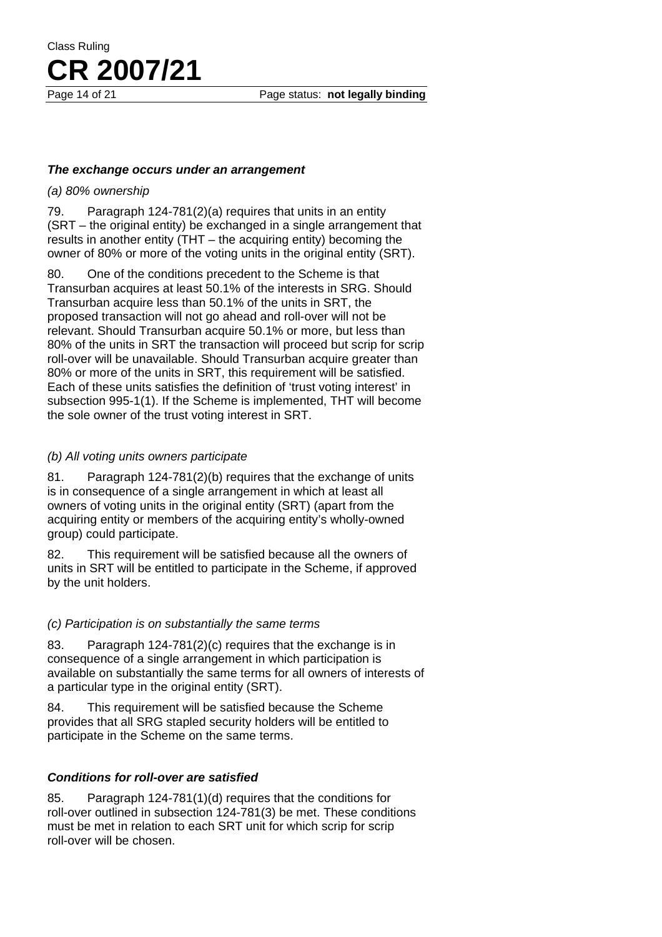Page 14 of 21 **Page status: not legally binding** 

#### *The exchange occurs under an arrangement*

#### *(a) 80% ownership*

79. Paragraph 124-781(2)(a) requires that units in an entity (SRT – the original entity) be exchanged in a single arrangement that results in another entity (THT – the acquiring entity) becoming the owner of 80% or more of the voting units in the original entity (SRT).

80. One of the conditions precedent to the Scheme is that Transurban acquires at least 50.1% of the interests in SRG. Should Transurban acquire less than 50.1% of the units in SRT, the proposed transaction will not go ahead and roll-over will not be relevant. Should Transurban acquire 50.1% or more, but less than 80% of the units in SRT the transaction will proceed but scrip for scrip roll-over will be unavailable. Should Transurban acquire greater than 80% or more of the units in SRT, this requirement will be satisfied. Each of these units satisfies the definition of 'trust voting interest' in subsection 995-1(1). If the Scheme is implemented, THT will become the sole owner of the trust voting interest in SRT.

#### *(b) All voting units owners participate*

81. Paragraph 124-781(2)(b) requires that the exchange of units is in consequence of a single arrangement in which at least all owners of voting units in the original entity (SRT) (apart from the acquiring entity or members of the acquiring entity's wholly-owned group) could participate.

82. This requirement will be satisfied because all the owners of units in SRT will be entitled to participate in the Scheme, if approved by the unit holders.

#### *(c) Participation is on substantially the same terms*

83. Paragraph 124-781(2)(c) requires that the exchange is in consequence of a single arrangement in which participation is available on substantially the same terms for all owners of interests of a particular type in the original entity (SRT).

84. This requirement will be satisfied because the Scheme provides that all SRG stapled security holders will be entitled to participate in the Scheme on the same terms.

#### *Conditions for roll-over are satisfied*

85. Paragraph 124-781(1)(d) requires that the conditions for roll-over outlined in subsection 124-781(3) be met. These conditions must be met in relation to each SRT unit for which scrip for scrip roll-over will be chosen.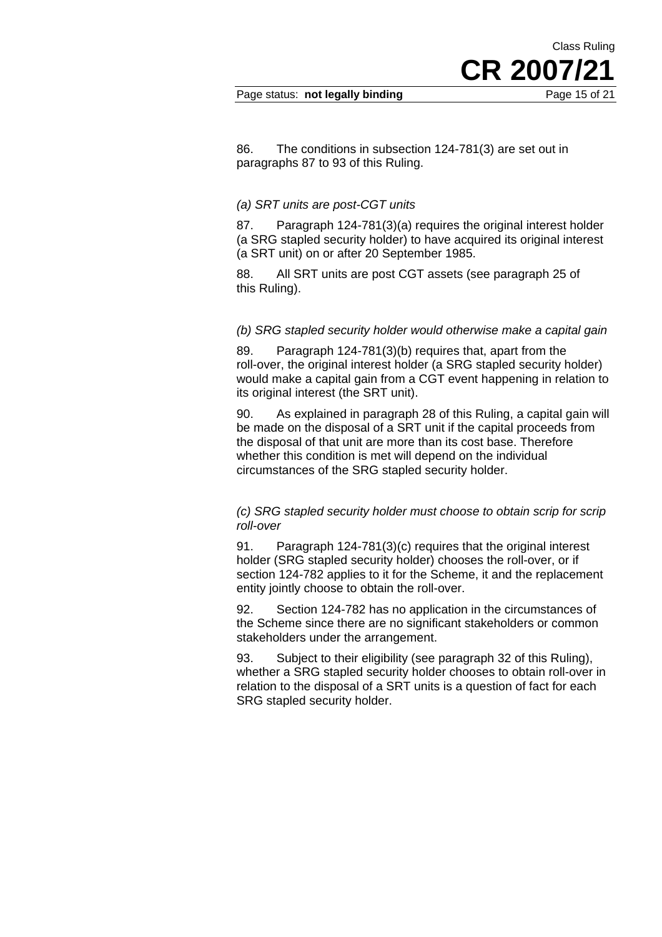Page status: **not legally binding** Page 15 of 21

**CR 2007/21**

Class Ruling

86. The conditions in subsection 124-781(3) are set out in paragraphs 87 to 93 of this Ruling.

#### *(a) SRT units are post-CGT units*

87. Paragraph 124-781(3)(a) requires the original interest holder (a SRG stapled security holder) to have acquired its original interest (a SRT unit) on or after 20 September 1985.

88. All SRT units are post CGT assets (see paragraph 25 of this Ruling).

#### *(b) SRG stapled security holder would otherwise make a capital gain*

89. Paragraph 124-781(3)(b) requires that, apart from the roll-over, the original interest holder (a SRG stapled security holder) would make a capital gain from a CGT event happening in relation to its original interest (the SRT unit).

90. As explained in paragraph 28 of this Ruling, a capital gain will be made on the disposal of a SRT unit if the capital proceeds from the disposal of that unit are more than its cost base. Therefore whether this condition is met will depend on the individual circumstances of the SRG stapled security holder.

#### *(c) SRG stapled security holder must choose to obtain scrip for scrip roll-over*

91. Paragraph 124-781(3)(c) requires that the original interest holder (SRG stapled security holder) chooses the roll-over, or if section 124-782 applies to it for the Scheme, it and the replacement entity jointly choose to obtain the roll-over.

92. Section 124-782 has no application in the circumstances of the Scheme since there are no significant stakeholders or common stakeholders under the arrangement.

93. Subject to their eligibility (see paragraph 32 of this Ruling), whether a SRG stapled security holder chooses to obtain roll-over in relation to the disposal of a SRT units is a question of fact for each SRG stapled security holder.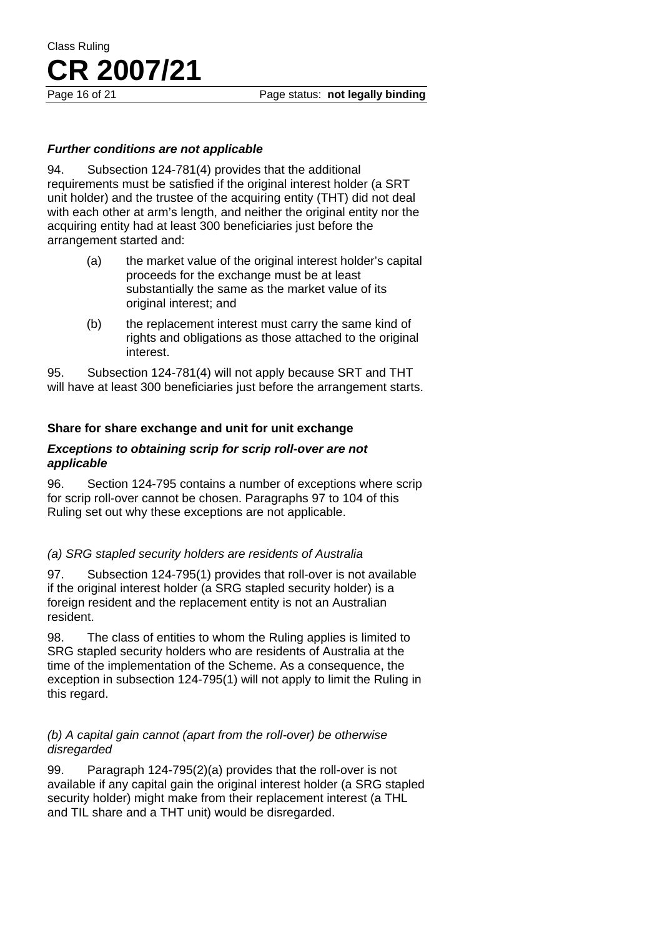Page 16 of 21 **Page status: not legally binding** 

#### *Further conditions are not applicable*

94. Subsection 124-781(4) provides that the additional requirements must be satisfied if the original interest holder (a SRT unit holder) and the trustee of the acquiring entity (THT) did not deal with each other at arm's length, and neither the original entity nor the acquiring entity had at least 300 beneficiaries just before the arrangement started and:

- (a) the market value of the original interest holder's capital proceeds for the exchange must be at least substantially the same as the market value of its original interest; and
- (b) the replacement interest must carry the same kind of rights and obligations as those attached to the original interest.

95. Subsection 124-781(4) will not apply because SRT and THT will have at least 300 beneficiaries just before the arrangement starts.

#### **Share for share exchange and unit for unit exchange**

#### *Exceptions to obtaining scrip for scrip roll-over are not applicable*

96. Section 124-795 contains a number of exceptions where scrip for scrip roll-over cannot be chosen. Paragraphs 97 to 104 of this Ruling set out why these exceptions are not applicable.

#### *(a) SRG stapled security holders are residents of Australia*

97. Subsection 124-795(1) provides that roll-over is not available if the original interest holder (a SRG stapled security holder) is a foreign resident and the replacement entity is not an Australian resident.

98. The class of entities to whom the Ruling applies is limited to SRG stapled security holders who are residents of Australia at the time of the implementation of the Scheme. As a consequence, the exception in subsection 124-795(1) will not apply to limit the Ruling in this regard.

#### *(b) A capital gain cannot (apart from the roll-over) be otherwise disregarded*

99. Paragraph 124-795(2)(a) provides that the roll-over is not available if any capital gain the original interest holder (a SRG stapled security holder) might make from their replacement interest (a THL and TIL share and a THT unit) would be disregarded.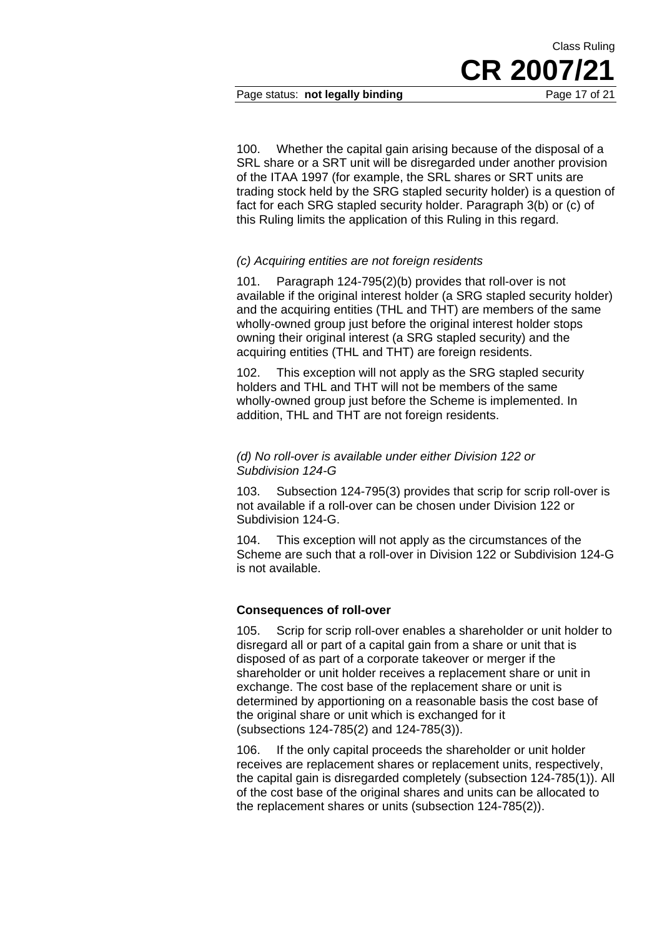100. Whether the capital gain arising because of the disposal of a SRL share or a SRT unit will be disregarded under another provision of the ITAA 1997 (for example, the SRL shares or SRT units are trading stock held by the SRG stapled security holder) is a question of fact for each SRG stapled security holder. Paragraph 3(b) or (c) of this Ruling limits the application of this Ruling in this regard.

#### *(c) Acquiring entities are not foreign residents*

101. Paragraph 124-795(2)(b) provides that roll-over is not available if the original interest holder (a SRG stapled security holder) and the acquiring entities (THL and THT) are members of the same wholly-owned group just before the original interest holder stops owning their original interest (a SRG stapled security) and the acquiring entities (THL and THT) are foreign residents.

102. This exception will not apply as the SRG stapled security holders and THL and THT will not be members of the same wholly-owned group just before the Scheme is implemented. In addition, THL and THT are not foreign residents.

#### *(d) No roll-over is available under either Division 122 or Subdivision 124-G*

103. Subsection 124-795(3) provides that scrip for scrip roll-over is not available if a roll-over can be chosen under Division 122 or Subdivision 124-G.

104. This exception will not apply as the circumstances of the Scheme are such that a roll-over in Division 122 or Subdivision 124-G is not available.

#### **Consequences of roll-over**

105. Scrip for scrip roll-over enables a shareholder or unit holder to disregard all or part of a capital gain from a share or unit that is disposed of as part of a corporate takeover or merger if the shareholder or unit holder receives a replacement share or unit in exchange. The cost base of the replacement share or unit is determined by apportioning on a reasonable basis the cost base of the original share or unit which is exchanged for it (subsections 124-785(2) and 124-785(3)).

106. If the only capital proceeds the shareholder or unit holder receives are replacement shares or replacement units, respectively, the capital gain is disregarded completely (subsection 124-785(1)). All of the cost base of the original shares and units can be allocated to the replacement shares or units (subsection 124-785(2)).

Class Ruling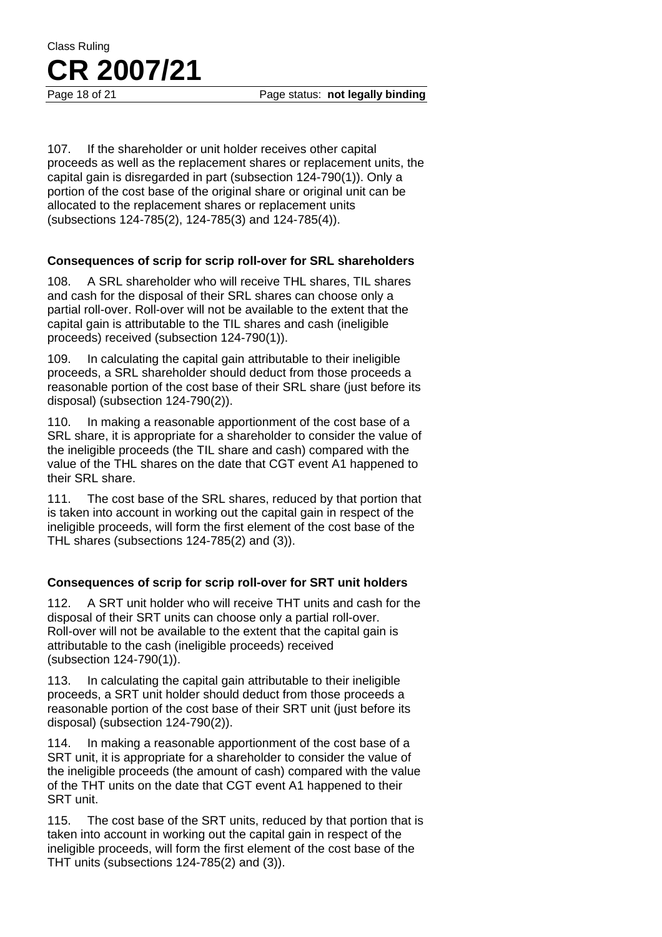Page 18 of 21 **Page status: not legally binding** 

107. If the shareholder or unit holder receives other capital proceeds as well as the replacement shares or replacement units, the capital gain is disregarded in part (subsection 124-790(1)). Only a portion of the cost base of the original share or original unit can be allocated to the replacement shares or replacement units (subsections 124-785(2), 124-785(3) and 124-785(4)).

#### **Consequences of scrip for scrip roll-over for SRL shareholders**

108. A SRL shareholder who will receive THL shares, TIL shares and cash for the disposal of their SRL shares can choose only a partial roll-over. Roll-over will not be available to the extent that the capital gain is attributable to the TIL shares and cash (ineligible proceeds) received (subsection 124-790(1)).

109. In calculating the capital gain attributable to their ineligible proceeds, a SRL shareholder should deduct from those proceeds a reasonable portion of the cost base of their SRL share (just before its disposal) (subsection 124-790(2)).

110. In making a reasonable apportionment of the cost base of a SRL share, it is appropriate for a shareholder to consider the value of the ineligible proceeds (the TIL share and cash) compared with the value of the THL shares on the date that CGT event A1 happened to their SRL share.

111. The cost base of the SRL shares, reduced by that portion that is taken into account in working out the capital gain in respect of the ineligible proceeds, will form the first element of the cost base of the THL shares (subsections 124-785(2) and (3)).

#### **Consequences of scrip for scrip roll-over for SRT unit holders**

112. A SRT unit holder who will receive THT units and cash for the disposal of their SRT units can choose only a partial roll-over. Roll-over will not be available to the extent that the capital gain is attributable to the cash (ineligible proceeds) received (subsection 124-790(1)).

113. In calculating the capital gain attributable to their ineligible proceeds, a SRT unit holder should deduct from those proceeds a reasonable portion of the cost base of their SRT unit (just before its disposal) (subsection 124-790(2)).

114. In making a reasonable apportionment of the cost base of a SRT unit, it is appropriate for a shareholder to consider the value of the ineligible proceeds (the amount of cash) compared with the value of the THT units on the date that CGT event A1 happened to their SRT unit.

115. The cost base of the SRT units, reduced by that portion that is taken into account in working out the capital gain in respect of the ineligible proceeds, will form the first element of the cost base of the THT units (subsections 124-785(2) and (3)).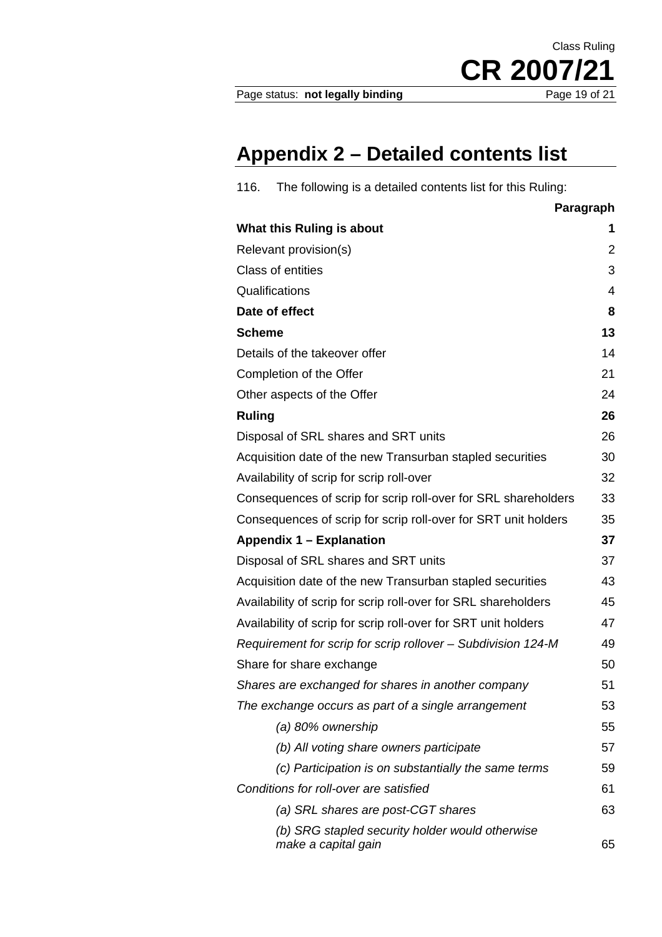Page status: not legally binding

CR 2007/21

Class Ruling

### **Appendix 2 – Detailed contents list**

| 116.<br>The following is a detailed contents list for this Ruling:     |                |  |
|------------------------------------------------------------------------|----------------|--|
|                                                                        | Paragraph      |  |
| What this Ruling is about                                              | 1              |  |
| Relevant provision(s)                                                  | $\overline{2}$ |  |
| Class of entities                                                      | 3              |  |
| Qualifications                                                         | 4              |  |
| Date of effect<br>8                                                    |                |  |
| <b>Scheme</b>                                                          | 13             |  |
| 14<br>Details of the takeover offer                                    |                |  |
| Completion of the Offer                                                | 21             |  |
| Other aspects of the Offer                                             | 24             |  |
| <b>Ruling</b>                                                          | 26             |  |
| Disposal of SRL shares and SRT units                                   | 26             |  |
| Acquisition date of the new Transurban stapled securities              | 30             |  |
| Availability of scrip for scrip roll-over                              | 32             |  |
| Consequences of scrip for scrip roll-over for SRL shareholders         | 33             |  |
| Consequences of scrip for scrip roll-over for SRT unit holders         | 35             |  |
| <b>Appendix 1 – Explanation</b>                                        |                |  |
| Disposal of SRL shares and SRT units                                   | 37             |  |
| Acquisition date of the new Transurban stapled securities              | 43             |  |
| Availability of scrip for scrip roll-over for SRL shareholders<br>45   |                |  |
| Availability of scrip for scrip roll-over for SRT unit holders         | 47             |  |
| Requirement for scrip for scrip rollover - Subdivision 124-M           | 49             |  |
| Share for share exchange                                               | 50             |  |
| Shares are exchanged for shares in another company                     | 51             |  |
| The exchange occurs as part of a single arrangement                    | 53             |  |
| (a) 80% ownership                                                      | 55             |  |
| (b) All voting share owners participate                                | 57             |  |
| (c) Participation is on substantially the same terms                   | 59             |  |
| Conditions for roll-over are satisfied                                 | 61             |  |
| (a) SRL shares are post-CGT shares                                     | 63             |  |
| (b) SRG stapled security holder would otherwise<br>make a capital gain | 65             |  |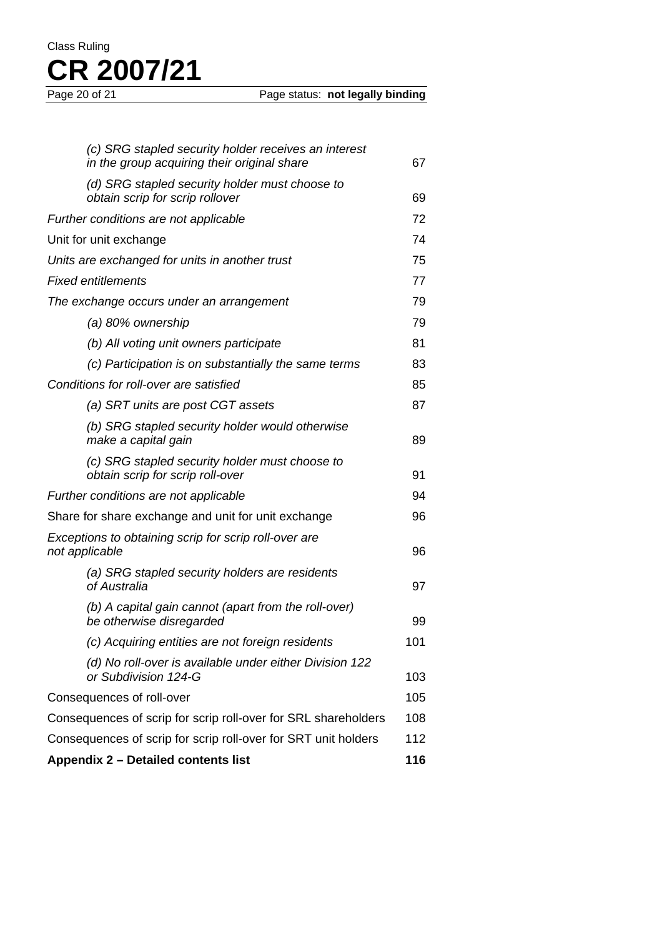Page status: **not legally binding** 

| (c) SRG stapled security holder receives an interest<br>in the group acquiring their original share | 67  |
|-----------------------------------------------------------------------------------------------------|-----|
| (d) SRG stapled security holder must choose to<br>obtain scrip for scrip rollover                   | 69  |
| Further conditions are not applicable                                                               |     |
| Unit for unit exchange                                                                              | 74  |
| Units are exchanged for units in another trust                                                      |     |
| <b>Fixed entitlements</b>                                                                           |     |
| The exchange occurs under an arrangement                                                            |     |
| (a) 80% ownership                                                                                   | 79  |
| (b) All voting unit owners participate                                                              | 81  |
| (c) Participation is on substantially the same terms                                                | 83  |
| Conditions for roll-over are satisfied                                                              | 85  |
| (a) SRT units are post CGT assets                                                                   | 87  |
| (b) SRG stapled security holder would otherwise<br>make a capital gain                              | 89  |
| (c) SRG stapled security holder must choose to<br>obtain scrip for scrip roll-over                  | 91  |
| Further conditions are not applicable                                                               |     |
| Share for share exchange and unit for unit exchange                                                 |     |
| Exceptions to obtaining scrip for scrip roll-over are<br>not applicable                             |     |
| (a) SRG stapled security holders are residents<br>of Australia                                      | 97  |
| (b) A capital gain cannot (apart from the roll-over)<br>be otherwise disregarded                    | 99  |
| (c) Acquiring entities are not foreign residents                                                    | 101 |
| (d) No roll-over is available under either Division 122<br>or Subdivision 124-G                     | 103 |
| Consequences of roll-over                                                                           |     |
| Consequences of scrip for scrip roll-over for SRL shareholders                                      |     |
| Consequences of scrip for scrip roll-over for SRT unit holders                                      |     |
| Appendix 2 - Detailed contents list                                                                 |     |